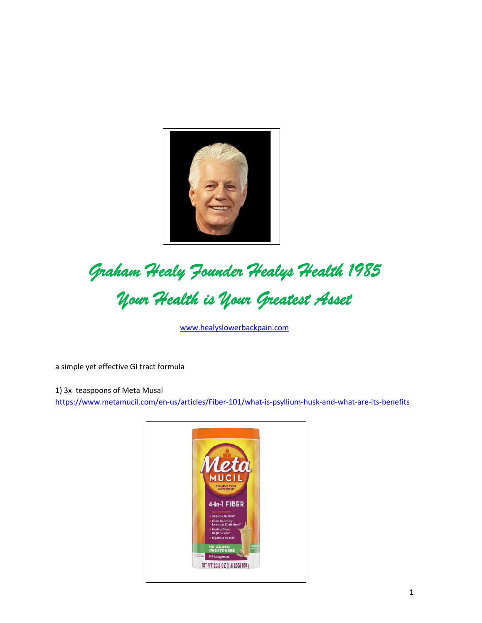

## Graham Healy Founder Healys Health 1985<br>Your Health is Your Greatest Asset

www.healyslowerbackpain.com

a simple yet effective GI tract formula

1) 3x teaspoons of Meta Musal https://www.metamucil.com/en-us/articles/Fiber-101/what-is-psyllium-husk-and-what-are-its-benefits

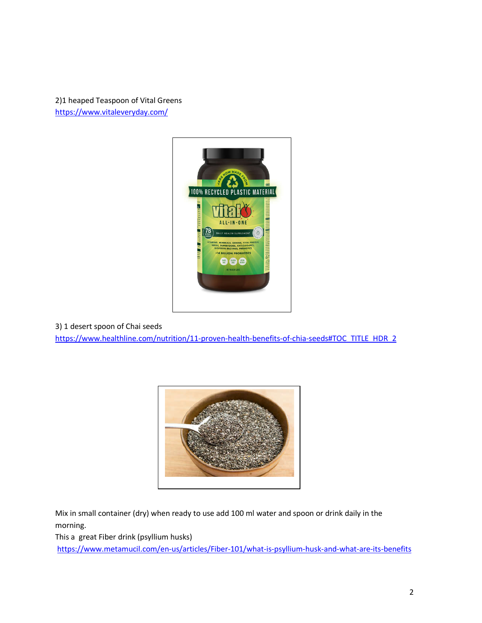[2\)1 heaped Teaspoon of Vital](https://www.vitaleveryday.com/) Greens https://www.vitaleveryday.com/



[3\) 1 desert spoon of Chai seeds](https://www.healthline.com/nutrition/11-proven-health-benefits-of-chia-seeds) 

https://www.healthline.com/nutrition/11-proven-health-benefits-of-chia-seeds#TOC\_TITLE\_HDR\_2



Mix in small container (dry) when ready to use add 100 ml water and spoon or drink daily in the morning.

[This a great Fiber drink \(psyllium husks\)](https://www.metamucil.com/en-us/articles/Fiber-101/what-is-psyllium-husk-and-what-are-its-benefits)

https://www.metamucil.com/en-us/articles/Fiber-101/what-is-psyllium-husk-and-what-are-its-benefits